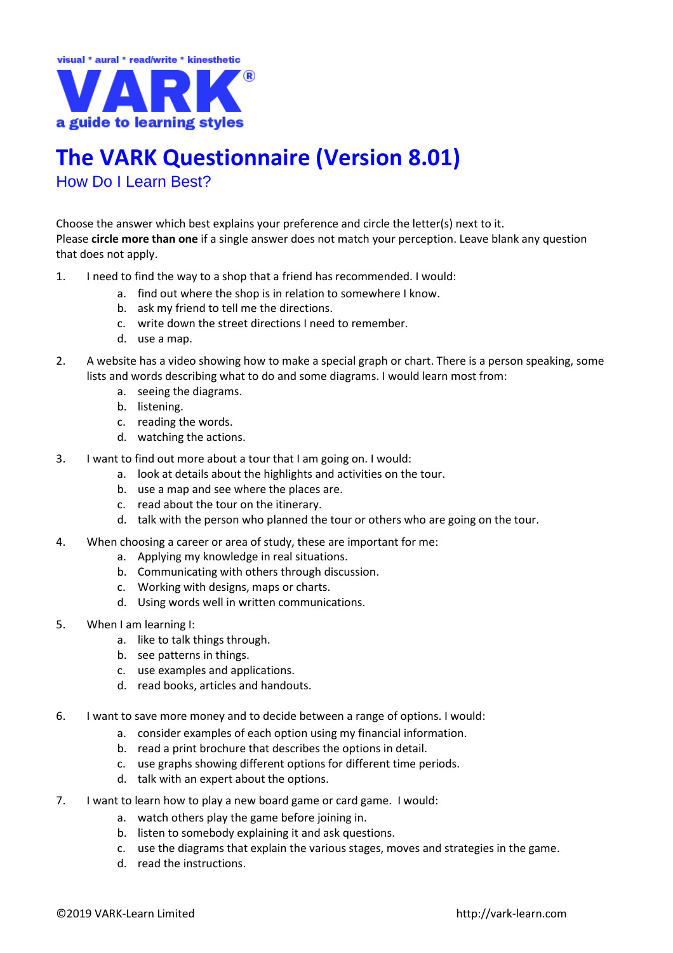

## **The VARK Questionnaire (Version 8.01)**

How Do I Learn Best?

Choose the answer which best explains your preference and circle the letter(s) next to it. Please **circle more than one** if a single answer does not match your perception. Leave blank any question that does not apply.

- 1. I need to find the way to a shop that a friend has recommended. I would:
	- a. find out where the shop is in relation to somewhere I know.
		- b. ask my friend to tell me the directions.
		- c. write down the street directions I need to remember.
		- d. use a map.
- 2. A website has a video showing how to make a special graph or chart. There is a person speaking, some lists and words describing what to do and some diagrams. I would learn most from:
	- a. seeing the diagrams.
	- b. listening.
	- c. reading the words.
	- d. watching the actions.
- 3. I want to find out more about a tour that I am going on. I would:
	- a. look at details about the highlights and activities on the tour.
	- b. use a map and see where the places are.
	- c. read about the tour on the itinerary.
	- d. talk with the person who planned the tour or others who are going on the tour.
- 4. When choosing a career or area of study, these are important for me:
	- a. Applying my knowledge in real situations.
	- b. Communicating with others through discussion.
	- c. Working with designs, maps or charts.
	- d. Using words well in written communications.
- 5. When I am learning I:
	- a. like to talk things through.
	- b. see patterns in things.
	- c. use examples and applications.
	- d. read books, articles and handouts.
- 6. I want to save more money and to decide between a range of options. I would:
	- a. consider examples of each option using my financial information.
	- b. read a print brochure that describes the options in detail.
	- c. use graphs showing different options for different time periods.
	- d. talk with an expert about the options.
- 7. I want to learn how to play a new board game or card game. I would:
	- a. watch others play the game before joining in.
	- b. listen to somebody explaining it and ask questions.
	- c. use the diagrams that explain the various stages, moves and strategies in the game.
	- d. read the instructions.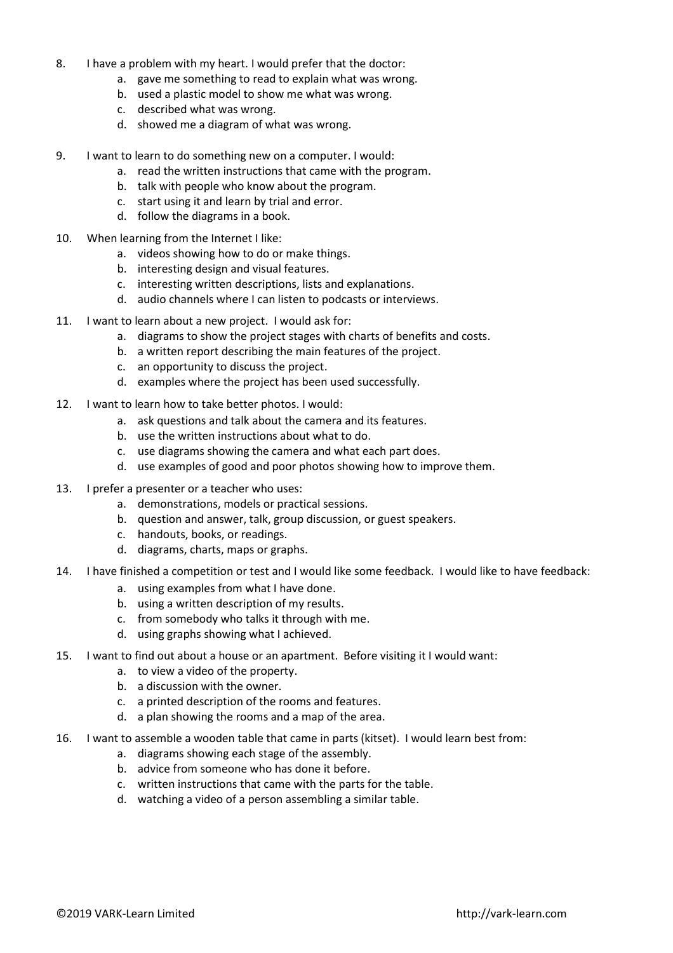- 8. I have a problem with my heart. I would prefer that the doctor:
	- a. gave me something to read to explain what was wrong.
	- b. used a plastic model to show me what was wrong.
	- c. described what was wrong.
	- d. showed me a diagram of what was wrong.
- 9. I want to learn to do something new on a computer. I would:
	- a. read the written instructions that came with the program.
	- b. talk with people who know about the program.
	- c. start using it and learn by trial and error.
	- d. follow the diagrams in a book.
- 10. When learning from the Internet I like:
	- a. videos showing how to do or make things.
	- b. interesting design and visual features.
	- c. interesting written descriptions, lists and explanations.
	- d. audio channels where I can listen to podcasts or interviews.
- 11. I want to learn about a new project. I would ask for:
	- a. diagrams to show the project stages with charts of benefits and costs.
	- b. a written report describing the main features of the project.
	- c. an opportunity to discuss the project.
	- d. examples where the project has been used successfully.
- 12. I want to learn how to take better photos. I would:
	- a. ask questions and talk about the camera and its features.
	- b. use the written instructions about what to do.
	- c. use diagrams showing the camera and what each part does.
	- d. use examples of good and poor photos showing how to improve them.
- 13. I prefer a presenter or a teacher who uses:
	- a. demonstrations, models or practical sessions.
	- b. question and answer, talk, group discussion, or guest speakers.
	- c. handouts, books, or readings.
	- d. diagrams, charts, maps or graphs.
- 14. I have finished a competition or test and I would like some feedback. I would like to have feedback:
	- a. using examples from what I have done.
	- b. using a written description of my results.
	- c. from somebody who talks it through with me.
	- d. using graphs showing what I achieved.
- 15. I want to find out about a house or an apartment. Before visiting it I would want:
	- a. to view a video of the property.
	- b. a discussion with the owner.
	- c. a printed description of the rooms and features.
	- d. a plan showing the rooms and a map of the area.
- 16. I want to assemble a wooden table that came in parts (kitset). I would learn best from:
	- a. diagrams showing each stage of the assembly.
	- b. advice from someone who has done it before.
	- c. written instructions that came with the parts for the table.
	- d. watching a video of a person assembling a similar table.